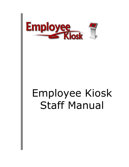

# Employee Kiosk Staff Manual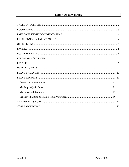# **TABLE OF CONTENTS**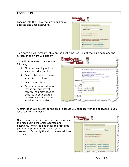## **LOGGING IN**

Logging into the Kiosk requires a full email address and user password.

| WHILBUS IS NO MUSEUM ENGINEER RISKS.                                                                                                             |                                 |
|--------------------------------------------------------------------------------------------------------------------------------------------------|---------------------------------|
| <b>Prest Additions</b> extreme i @instock 12 at us-                                                                                              |                                 |
| <b>Twoowerd</b> assessed                                                                                                                         | <b>Leaks</b>                    |
| Folger your Passworth Otse here is these                                                                                                         |                                 |
| Ma ("replaces fillest bas base restaul and in computable add the ball monet bronow a<br>First the class sequentery places can use of the follows |                                 |
| Windows Elgidal by Tree states. Th- City A learn for all second particularly                                                                     |                                 |
|                                                                                                                                                  |                                 |
| THEM! MY HIGH AT                                                                                                                                 | CAULBUR IS all and author to be |

To create a Kiosk Account, click on the First time user link at the login page and the screen on the right will display.

You will be required to enter the following:

- 1. Either an employee id or social security number
- 2. Select the county where your district is located
- 3. Select your district
- 4. Enter your email address that is on your payroll record. You may need to check with your payroll department to verify the email address on file.

|                           | To register for the Employee Klosk, please supply the following:                                                                                                   |  |
|---------------------------|--------------------------------------------------------------------------------------------------------------------------------------------------------------------|--|
|                           | 1) Your Employee Id or SSN.<br>2) The courty in which your district resides;<br>3) Your districts name.<br>4) Your email address provided to you by your district. |  |
| Employee Id               |                                                                                                                                                                    |  |
|                           | OR                                                                                                                                                                 |  |
| <b>SSN</b><br>ino dashes) |                                                                                                                                                                    |  |
|                           | County - Select County -                                                                                                                                           |  |
|                           | District - Select District-                                                                                                                                        |  |
|                           | Email                                                                                                                                                              |  |

A notification will be sent to the email address you supplied with the password to use for accessing the Kiosk.

Once the password is received you can access the Kiosk using the email address and password. When logging in for the first time you will be prompted to change your password. Currently the Kiosk password does not expire.

| Waltzma to the ITCONNY Employee fiest.                                                                                                             |              |
|----------------------------------------------------------------------------------------------------------------------------------------------------|--------------|
| Trial Accord, which I guiddle 12 (Field                                                                                                            |              |
| Pattern'd assessed                                                                                                                                 | <b>Legis</b> |
| The Amyrksyne POLISE and press recised pay's soviet path and the futbook's arises are a<br>For the dead augmention annual use you of the futureing |              |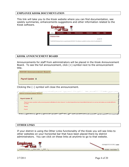## **EMPLOYEE KIOSK DOCUMENTATION**

This link will take you to the Kiosk website where you can find documentation, see weekly summaries, enhancements suggestions and other information related to the Kiosk software.



## **KIOSK ANNOUNCEMENT BOARD**

Announcements for staff from administrators will be placed in the Kiosk Announcement Board. To see the full announcement, click  $(+)$  symbol next to the announcement title.

**KIOSK Announcement Board** 

Payroll Update ±

Clicking the (–) symbol will close the announcement.

| المريض والمريد المستحدث المحاسب المستحدث المستحدث المستحدث المستحدث المستحدث المتحدث المستحدث المستحدث المستحدث المستخدر<br>المتحصص وتعميك والمتوس إيواء والمتحرد والأواق<br><b>KIOSK Announcement Board</b>                                                                                                                                                                              |
|-------------------------------------------------------------------------------------------------------------------------------------------------------------------------------------------------------------------------------------------------------------------------------------------------------------------------------------------------------------------------------------------|
| Payroll Update <b>L</b>                                                                                                                                                                                                                                                                                                                                                                   |
| There has been a problem with processing email notifications for direct deposit. You direct deposit has been transmitted to the bank but you may not recieve your email notification<br>by Friday.                                                                                                                                                                                        |
| <b>Thanks</b>                                                                                                                                                                                                                                                                                                                                                                             |
| Payroll                                                                                                                                                                                                                                                                                                                                                                                   |
| <b><i>Chambers</i></b><br>The particular of the contract of the contract of the company and the contract of the contract of the contract of<br>the continuum of the continuum of the<br>the contraction of the contract of<br>and the wind wind of the<br>the accountable to the contract of the management of the contract of the contract of the<br><b>Call Color Ave. 2007</b><br>حسدة |

## **OTHER LINKS**

If your district is using the Other Links functionality of the Kiosk you will see links to other websites on your horizontal bar that have been placed there by district administrators. You can click on these links at anytime to go to that website.

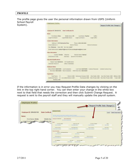#### **PROFILE**



If the information is in error you may Request Profile Data changes by clicking on the link in the top right hand corner. You can then enter your change in the white box next to that field that needs the correction and then click Submit Change Request. A request is sent to the payroll staff and they will manually update the payroll system.

|                                                                                            |                                                                                                                                                   |                                                                                                |                                                       | <b>Request Profile Data Change(s)</b>   |
|--------------------------------------------------------------------------------------------|---------------------------------------------------------------------------------------------------------------------------------------------------|------------------------------------------------------------------------------------------------|-------------------------------------------------------|-----------------------------------------|
| Employee ID: GRA000100<br><b>State Certificat</b>                                          | <b>Binaloyee Frobia</b>                                                                                                                           |                                                                                                |                                                       | <b>Submit Change Request</b><br>Cenculi |
| Name:                                                                                      | 212 Sec 1930 or 3130 and 313 and 414 per countries and the present into compute                                                                   | \$10.0 Testing from on the west factor in concerns the regional and state we fee a movement.   |                                                       |                                         |
| First Name: Emily<br>Middle Nat<br>Legal First Name Man Legal Nddle Nat<br><b>Contrast</b> | Treasures ID: Q/MA00180<br><b>Grin Carification Co.</b><br>the contract of the con-<br><b>Care Midd Saddrailer NY</b><br>liarm:<br>Trailine Print | <b>Skilder Bluess FR</b>                                                                       | List formic Teacher                                   | Suite                                   |
|                                                                                            | <b>Room of Literature</b>                                                                                                                         | Alex 10,000 Autom                                                                              | lake LAH Farmer                                       | <b>BACTIFIC</b>                         |
|                                                                                            | <b><i>SHAMP FOR TRAINING</i></b><br>land Level D at Barter                                                                                        | <b>EAGLINGHOUS</b><br><b>Both Light Seattle Bolest</b>                                         | <b>ENGINEERING</b><br>down frastal East I haven.      | Louis Labor.<br>three kinds bables      |
|                                                                                            | <b>Carried Managers</b><br>Auditors   EST Fabricate Only<br><b>Ron Institute FTT</b><br><b>Group Alemand 21</b><br>then front initians 3          | Warren 1980 State-Aliak<br>Hing House<br><b>Xidran's Process</b><br><b>Bist Daton: Florest</b> | <b>Janet Listenber</b><br><b>The Dentil Education</b> |                                         |
|                                                                                            | 2321209400aVL<br><b>Red Did</b>                                                                                                                   | THE CHOICE SEALER<br>1806.091<br>May 19 Collect<br>Work Starter                                |                                                       |                                         |

The profile page gives the user the personal information drawn from USPS (Uniform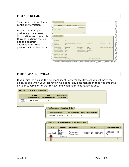## **POSITION DETAILS**

This is a brief view of your contract information.

If you have multiple positions you can select the position from under the Current Positions section and the contract information for that position will display below.

| <b>Job Titte</b>                   | Start Date                            | <b>Job Status</b> |                                |              |                                |        |
|------------------------------------|---------------------------------------|-------------------|--------------------------------|--------------|--------------------------------|--------|
| Elementary School Teacher          | 09/21/2001                            | Activa            | Oisplay Details                |              |                                |        |
| Export to CSV                      |                                       |                   |                                |              |                                |        |
|                                    |                                       |                   | $1 - 1$                        |              |                                |        |
| Position Details                   |                                       |                   |                                |              |                                |        |
| 300 Humber                         |                                       |                   |                                |              |                                |        |
| Job Tibe                           | Elementary School Teacher Start Bales |                   |                                | 09/21/2001   | Job Stellan                    | Active |
| <b>Runding Bild</b><br><b>MATE</b> | Bt                                    |                   |                                |              |                                |        |
| Eastract Amount                    | \$50,000.00                           |                   | Daily Or Hoorty:               | <b>Daily</b> | Daily Dr Routly Rate \$273.224 |        |
| HOUCH IN WORK DAY                  | T.                                    |                   | Pay Par Pariod                 | 81,923.08    |                                |        |
| Work Days in Contract              | 182                                   |                   | Colendar Start Date 09/21/2001 |              |                                |        |
| Salary Schudule Step               | B.                                    |                   | Salary Schooule Column 0       |              |                                |        |
| Elizable for Sick Lagye            | Yes:                                  |                   |                                |              |                                |        |
| Eligible for Personal Leave Yes-   |                                       |                   |                                |              |                                |        |
| Eligible for Vacation Learn No.    |                                       |                   |                                |              |                                |        |
|                                    |                                       |                   |                                |              | #SPRINGHIODOCK12.0H.US         |        |

## **PERFORMANCE REVIEWS**

If your district is using the functionality of Performance Reviews you will have the ability to see when your last review was done, any documentation that was attached by your supervisor for that review, and when your next review is due.

|        | <b>My Performance Reviews</b>     |                                       |                                                 |                                            |                             |                        |
|--------|-----------------------------------|---------------------------------------|-------------------------------------------------|--------------------------------------------|-----------------------------|------------------------|
|        | Current<br><b>Evaluation Date</b> | <b>Next</b><br><b>Evaluation Date</b> | <b>Documents</b><br><b>Attached</b>             |                                            |                             |                        |
| (UIEW) | 10/13/1999                        | $\overline{\phantom{a}}$              |                                                 |                                            |                             |                        |
|        |                                   |                                       | $1 - 1$                                         |                                            |                             |                        |
|        |                                   |                                       | Performance Review Info                         |                                            |                             |                        |
|        |                                   |                                       | <b>Employee Name</b>                            | <b>Evaluation Date</b>                     | <b>Next Evaluation Date</b> |                        |
|        |                                   |                                       | SANDRA S BULLOCK                                | 10/13/1999                                 | $\overline{\phantom{a}}$    |                        |
|        |                                   |                                       |                                                 |                                            |                             |                        |
|        |                                   |                                       |                                                 | <b>Associated Performance Review Files</b> |                             |                        |
|        |                                   |                                       |                                                 |                                            |                             |                        |
|        |                                   | File Id                               | <b>Filename</b>                                 | <b>Description</b>                         | <b>Created By</b>           | Created Datetime ≜     |
|        |                                   | <br>idownloadi                        | Sandra<br><b>Bullock</b><br>2008<br>review.docx | Performance<br>Review 2009                 | KIOSKDEMO@MCOECN.ORG        | 10/06/2009 04:18<br>РM |
|        |                                   |                                       |                                                 |                                            |                             | $1 - 1$                |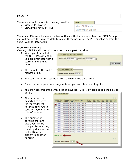## **PAYSLIP**

There are now 2 options for viewing payslips.

- View USPS Payslip
- View/Print Pay Slip {PDF}

| Payslip                   |  |
|---------------------------|--|
| View USPS Payslip         |  |
| View/Print Pay Slip {PDF} |  |

The main difference between the two options is that when you view the USPS Payslip you will not see the year-to-date totals on these payslips. The PDF payslips contain the actual year-to-date totals.

## **View USPS Payslip**

Viewing USPS Payslip permits the user to view past pay slips.

1. When you first select the USPS Payslip option you are prompted with a starting and ending date.

2. The default is the last 3 months of pay.

|  |  | Load Payslips |
|--|--|---------------|

- 3. You can click on the calendar icon to change the date range.
- 4. Once you have your date range entered you can click Load Payslips.
- 5. You then are presented with a list of payslips. Click view icon to see the payslip detail. Pay Slip Summary
- 6. The data may be exported to a .csv file (spreadsheet), not requiring you to contact payroll to get this information.
- 7. The number of payslips that are displayed can be changed by selecting the drop down arrow and setting the display to another number.

| <b>Click to View</b><br>Pay Slip | <b>Payment</b><br>Date A | Check<br>Num | Gross <sub></sub> | <b>Net</b>            | Direct<br><b>Deposit</b> | Sick<br><b>Used</b> | <b>Vac</b><br><b>Used</b> | <b>Dors</b><br><b>Used</b> | Sick<br>Ball | <b>Mac</b><br>Ball | <b>Dors</b><br>Ball |
|----------------------------------|--------------------------|--------------|-------------------|-----------------------|--------------------------|---------------------|---------------------------|----------------------------|--------------|--------------------|---------------------|
| <b>UHV</b>                       | 02/27/2009 500383        |              |                   | \$1,923.08 \$1,460.69 | ٧                        | ٥                   | n                         | o                          | 12.75        | o                  | ā                   |
| <b>CITED</b>                     | 02/13/2009 500357        |              |                   | \$1,923.08 \$1,460.69 | Y                        | ű                   | ű                         | ű                          | 12.75        | O.                 | 3                   |
| <b>UHV</b>                       | 02/20/2004 500329        |              | \$1,138.46        | <b>SB99 10</b>        | ٧                        | n                   | n                         | Ō                          | 12.75        | la                 | з                   |
| <b>CUTW</b>                      | 02/06/2004 500304        |              | \$1,138.46        | \$899.10              | Y                        | ű                   | ű                         | ű                          | 12.75        | Iŭ.                | š                   |
| <b>UHV</b>                       | 01/23/2004 500279        |              | \$1,138.46        | \$899.10              | ٧                        | n                   | Ō                         | Ō                          | 12.75        | o                  | з                   |
| <b>CUTW</b>                      | 01/09/2004 500254        |              | \$1,138.46        | \$899.10              | Y                        | ű                   | ű                         | ű                          | 4            | O.                 | š                   |
| <b>UHV</b>                       | 12/26/2003 500229        |              | \$1,138.45        | \$899.10              | ٧                        | n                   | n                         | Ō                          | đ            | O                  | з                   |
| (UIN)                            | 12/12/2003 500204        |              | \$1,138.46        | \$899.10              | Y                        | ű                   | ű                         | ű                          | 4            | O.                 | š                   |
| <b>UHV</b>                       | 11/28/2003 500179        |              | \$1,138.45        | \$899.10              | ٧                        | a                   | n                         | O                          | đ            | O                  | з                   |
| (UIN)                            | 11/14/2003 500154        |              | \$1,138.46        | \$899.10              | Y                        | ű                   | ű                         | ű                          | 4            | ű                  | š                   |
| <b>DIN</b>                       | 10/31/2003 500129        |              | \$1,138.46        | \$899.10              | Y                        | a                   | n                         | Ō                          | đ            | O                  | з                   |
| (UN)                             | 10/17/2003 500104        |              | \$1,138.46        | \$899.10              | v                        | ű                   | ű                         | ű                          | 4            | ű                  | š                   |
| (UBI)                            | 10/03/2003 500079        |              | \$1,138.46        | \$899.10              | Y                        | a                   | o                         | Ō                          | 4            | o                  | з                   |
| <b>CUTW</b>                      | 09/19/2003 500054        |              | \$1,138.46        | \$899.10              | v                        | ű                   | û                         | ŏ                          | 4            | ű                  | š                   |
| (UH)                             | 09/05/2003 500029        |              | \$1,138.46        | \$899.10              | ٧                        | ٥                   | 0                         | Ō                          | 4            | Ō                  | з                   |
| <b>Export to .CSV</b>            |                          |              |                   |                       |                          |                     |                           |                            |              |                    | $1 - 15$            |
| Number of Rows Displayed 200     |                          | ▿            |                   |                       |                          |                     |                           |                            |              |                    |                     |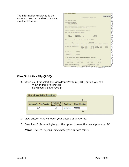The information displayed is the same as that on the direct deposit email notification.

| tion / Print Pap Stp.                                                                                                    |                                               |                             |                                                              |                                                |                           |
|--------------------------------------------------------------------------------------------------------------------------|-----------------------------------------------|-----------------------------|--------------------------------------------------------------|------------------------------------------------|---------------------------|
|                                                                                                                          |                                               |                             | <b><i>A R &amp; BOEIFICATION OF DESCRIPT A R &amp; R</i></b> |                                                | <b>PRINT Pay Slip</b>     |
| <b>Intly Is Jasder</b><br>$3\sigma$                                                                                      |                                               |                             |                                                              |                                                |                           |
| FIGHT SERCE TEST RIGHT<br>1234 DISTRAICT LANK<br>HARSFIELD OR 44909                                                      |                                               |                             |                                                              |                                                |                           |
| The accounts designated in you Authorization agreement for Automatic<br>Deposit and credited in the amount of \$1,000.00 |                                               |                             |                                                              |                                                |                           |
| Possie are available in your account(e) as of E2/27/2009.                                                                |                                               |                             |                                                              |                                                |                           |
| Your sulary has been deposited as follows:                                                                               |                                               |                             |                                                              |                                                |                           |
| <b>Dide</b>                                                                                                              | Description<br>Chevking Diseast Deposit - 700 |                             |                                                              | <b>MIGHT</b><br>41,480.09                      |                           |
| Index is a summary of your pay for the period ending 02/27/2009.                                                         |                                               |                             |                                                              |                                                |                           |
| 24/5                                                                                                                     |                                               |                             | MEDISCITORS                                                  |                                                |                           |
| <b>Table</b>                                                                                                             | TALLA MONT.<br><b>ESMIN</b>                   |                             | ABOULT TITTO ROUND 2808                                      |                                                | <b>MIGHT TITTE ABOUNT</b> |
| EL TEACH -SHE 18.000 2732.24                                                                                             | <b>TED</b>                                    | 181.71                      |                                                              | <b>STL.16 STRE-MOI LK2.31</b>                  | 141.13                    |
| EL TEATE -200 6.000 -200-36                                                                                              | OEDO                                          | 21.44<br><b>IMPLE 21.13</b> |                                                              | 222.52 MEDICARE 27.66<br>118.00 MEDICINE 37.88 | 1四,到                      |
|                                                                                                                          |                                               |                             | *E388 249-23 1378-98                                         |                                                | 121.00                    |
| General Security                                                                                                         | 1.823.00                                      |                             |                                                              |                                                |                           |
| Attornet Grows                                                                                                           | L-798.91                                      |                             |                                                              |                                                |                           |
| S-D-T GAODS*                                                                                                             | 8,400.00                                      |                             |                                                              |                                                |                           |
| 4 Indication SQUO INCOME.                                                                                                |                                               |                             |                                                              |                                                |                           |
| ** pear To Date totals show on this document are as of 11/13/1989.                                                       |                                               |                             |                                                              |                                                |                           |
| Birk Leave                                                                                                               | <b>Vasation Leave</b>                         |                             | <b>Bermanil Leave</b>                                        | Descripe Days                                  |                           |
| Use/Balance                                                                                                              | Use/Balance                                   |                             | Ope/Balance                                                  | Moniv/9738                                     |                           |
| 8.000 / 13.790                                                                                                           | 8.000 / 8.000                                 |                             | 8.000 / 3.000                                                | 18 / 18                                        |                           |
| FRONTHI EXHIBITIONS: MATELONS III                                                                                        |                                               |                             | TOTAL DeGactions: Ger.39                                     |                                                |                           |
| Date Esseptings                                                                                                          | Il Deposit # 100011 Xet Pape                  |                             |                                                              | 3.860.89                                       |                           |

# **View/Print Pay Slip {PDF}**

- 1. When you first select the View/Print Pay Slip {PDF} option you can
	- View and/or Print Payslip
	- Download & Save Payslip

| $\overline{C}$ List of Available Payslips |                                   |          |                     |
|-------------------------------------------|-----------------------------------|----------|---------------------|
|                                           |                                   |          | $1 - 1$             |
| <b>View and/or Print Payslip</b>          | Download &<br><b>Save Payslip</b> | Pay Date | <b>Check Number</b> |
|                                           |                                   | 01282011 | 588680              |
|                                           |                                   |          | $1 - 1$             |
|                                           |                                   |          |                     |

- 2. View and/or Print will open your payslip as a PDF file.
- 3. Download & Save will give you the option to save the pay slip to your PC.

*Note: The PDF payslip will include year-to-date totals.*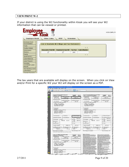## **VIEW/PRINT W-2**

If your district is using the W2 functionality within Kiosk you will see your W2 information that can be viewed or printed.

| <b>Emplo</b>                                                                                        |                      |                                               |                 |                       | KIOSK.EMPLOYI |
|-----------------------------------------------------------------------------------------------------|----------------------|-----------------------------------------------|-----------------|-----------------------|---------------|
| <b>Employee Kiosk</b>                                                                               | <b>Other Links</b>   | <b>IPDP</b>                                   | Scheduler       |                       |               |
| Employee Kiosk<br><b>Documentation</b><br>Profile<br><b>Position Details</b>                        |                      | List of Available W-2 Wage and Tax Statements |                 | $1 - 1$               |               |
| Performance                                                                                         | View and/or Print W2 | Download & Save W2                            | <b>Tax Year</b> | <b>Control Number</b> |               |
| <b>Reviews</b>                                                                                      | Ø                    | Ø                                             | 2007            |                       |               |
| Payslip<br>View/Print W-2                                                                           |                      |                                               |                 | $1 - 1$               |               |
| Leave Balances                                                                                      |                      |                                               |                 |                       |               |
| Leave Request                                                                                       |                      |                                               |                 |                       |               |
| Substitute<br>Coordinator Leave<br>Reports<br>View Building Leave<br>Calendar(s)<br>Change Password |                      |                                               |                 |                       |               |

The tax years that are available will display on the screen. When you click on View and/or Print for a specific W2 your W2 will display on the screen as a PDF.

| Copy 2 To for Find With Engineers & Male<br>Capy B To Be Find With Engineer's<br><b>CARL No.</b><br>2007<br>FEDERAL Tax Roturn<br>Oth, or Local Income Tax Return<br><b><i>Private, Ltd., Glind carrier</i></b><br><b>Phare</b> , Talk, Other Lots<br>FREDER FOOTH TO HE<br><b>I DESPESAR</b><br><sup>1</sup> EXOSTELLIO <sup>N</sup><br>39408.33<br>3543.36<br>29450.22<br>122-22-2289<br>222-22-2201<br><b>Sudd become super</b><br>I Good month wages<br><b>I. Drainer Distribut</b><br>t Engine II sunker<br>T. Mexicone engine and tips<br>T Maliani is a Pilati<br>7 North and ought and find<br>35-3533231<br>33-3353335<br>44902.39<br>851.04<br>44602.38<br>There you are well with the<br>IT TRANSPORTED A RADIO AND THE<br><b>SIMPLE CITY SCREEN</b><br><b>SIMPLE CUTY SUBSIDE</b><br>123 WEST CRAIRE SCAL<br>122 MOST CHARE ROAD<br>ISLATIFIED IN ALARA.<br>CHAINTING OF 49644<br>a Toront turker<br>I Torre arts<br>socesse<br>0000008<br>a Tirologia i neni, antive, social piac<br>I Trouses have atrue and it was<br><b>FAREDOM J STEERING</b><br>CARLYCH J STILLMAN<br>HOUSE WILLIAMS CTY 30 H<br>DANKO WELLZAMY OTH RM HD<br>ARYTOWN, OR 64223<br>ARFIDOWN, OR 66223<br>7 Schill below the<br>I drubber too<br>7 Door Mortyran<br>5 Answer Wr<br>12. DUESTINT TWO TATARET<br>T WINCOMERON<br>IT CANNING INVESTS.<br><b>TTRINGTONIC</b><br>ä<br>1108.00<br>11.1912<br>85 SH<br>17 TEVARAN<br>17 TO Arreste<br>भ जन्म<br>VERDOLE: 425.00<br>969.TK<br>VENDOLE 125.09<br>шä<br>м<br><b>Renauent Par</b><br><b>Novement Play</b><br>五<br>且<br><b>W.Dea</b><br>Thin war's tolk pay<br><b>Jesservanne</b><br>1861 815-5415118<br>1472.38<br><b>DR 155-555555</b><br>29428.18<br>39430.10<br>If Suiz expir. An. in<br>ar Casta Community and The<br>31 Sala angel, late are<br>IT Saw morning but<br>14 Sales Ringhayer's Auto Critic<br>If Lond supply for the<br>IS come backet lat.<br>L. Locality county<br>13. Long serges fire will<br>11 Local Grants (a)<br>48962.38<br>27.7, 18<br><b>CITY1</b><br>44962.38<br>875.18<br>Fort 16.7 Neps and Tex Tuesman<br>Fore to 2 stage and Tar. Data hard<br>Tast of the Trace as  PRT<br>This information is baring turnsmakers the creamal Planets is belowed<br>CALLY C. PAINT RAPIDLE IN RECORDER<br>$\frac{1}{\sqrt{2}}\sum_{i=1}^{N-1}\frac{1}{\sqrt{2}}\sum_{i=1}^{N-1}\frac{1}{\sqrt{2}}\sum_{i=1}^{N-1}\frac{1}{\sqrt{2}}\sum_{i=1}^{N-1}\frac{1}{\sqrt{2}}\sum_{i=1}^{N-1}\frac{1}{\sqrt{2}}\sum_{i=1}^{N-1}\frac{1}{\sqrt{2}}\sum_{i=1}^{N-1}\frac{1}{\sqrt{2}}\sum_{i=1}^{N-1}\frac{1}{\sqrt{2}}\sum_{i=1}^{N-1}\frac{1}{\sqrt{2}}\sum_{i=1}^{N-1}\frac{1}{\sqrt{2}}$<br><b>152.5cm</b><br>2007<br><b>ESTATE FROM WATER SOLD DOWNER</b><br>(See Notice To Employee)<br>most system climate of EU Linux must be a late recor-<br>Thispea lan, your comp.<br>I Remot myone by adiless<br>a programme<br>THIS CONTRACTOR<br>39808.33<br>3343.36<br>222-23-2203<br>F. Senat parumy terrantment<br>2. Scott serving wages<br>er an ein tenen.<br>Bruger is Steven.<br><b>L Drainer Distribut</b><br>PROGRAM STATE OF SANTON<br><b>TRUGUESIVIES</b><br>T William more and the<br>er anno 1990.<br>15-3930433<br>44900.39<br><b>RSL-04</b><br>Argentinanomagnetica.<br>2002/05/2002/05/07/07<br>I Engine Frank politic MCTV LOB<br><b>STERN ASSOCIATES</b> AND ARRESTS CONTINUES.<br><b>STREEK CUTY SCRIBINA</b><br><b>EN ENTRALISTA L'UNICIANA</b><br><b>CASE BURGINE DA FUNDI ATAS EN "</b><br>LES WRIST CRAINER BEACH<br>of Intrument<br><b>COAT/TOWN OR 44464</b> |                                         |
|------------------------------------------------------------------------------------------------------------------------------------------------------------------------------------------------------------------------------------------------------------------------------------------------------------------------------------------------------------------------------------------------------------------------------------------------------------------------------------------------------------------------------------------------------------------------------------------------------------------------------------------------------------------------------------------------------------------------------------------------------------------------------------------------------------------------------------------------------------------------------------------------------------------------------------------------------------------------------------------------------------------------------------------------------------------------------------------------------------------------------------------------------------------------------------------------------------------------------------------------------------------------------------------------------------------------------------------------------------------------------------------------------------------------------------------------------------------------------------------------------------------------------------------------------------------------------------------------------------------------------------------------------------------------------------------------------------------------------------------------------------------------------------------------------------------------------------------------------------------------------------------------------------------------------------------------------------------------------------------------------------------------------------------------------------------------------------------------------------------------------------------------------------------------------------------------------------------------------------------------------------------------------------------------------------------------------------------------------------------------------------------------------------------------------------------------------------------------------------------------------------------------------------------------------------------------------------------------------------------------------------------------------------------------------------------------------------------------------------------------------------------------------------------------------------------------------------------------------------------------------------------------------------------------------------------------------------------------------------------------------------------------------------------------------------------------------------------------------------------------------------------------------------------------------------------------------------------------------------------------------------------------------------------------------------------------------------------------------------------------------------------------------------------------------------------------------------------------------------------------------------------------------------|-----------------------------------------|
|                                                                                                                                                                                                                                                                                                                                                                                                                                                                                                                                                                                                                                                                                                                                                                                                                                                                                                                                                                                                                                                                                                                                                                                                                                                                                                                                                                                                                                                                                                                                                                                                                                                                                                                                                                                                                                                                                                                                                                                                                                                                                                                                                                                                                                                                                                                                                                                                                                                                                                                                                                                                                                                                                                                                                                                                                                                                                                                                                                                                                                                                                                                                                                                                                                                                                                                                                                                                                                                                                                                                    |                                         |
|                                                                                                                                                                                                                                                                                                                                                                                                                                                                                                                                                                                                                                                                                                                                                                                                                                                                                                                                                                                                                                                                                                                                                                                                                                                                                                                                                                                                                                                                                                                                                                                                                                                                                                                                                                                                                                                                                                                                                                                                                                                                                                                                                                                                                                                                                                                                                                                                                                                                                                                                                                                                                                                                                                                                                                                                                                                                                                                                                                                                                                                                                                                                                                                                                                                                                                                                                                                                                                                                                                                                    | 2007<br>58.000                          |
|                                                                                                                                                                                                                                                                                                                                                                                                                                                                                                                                                                                                                                                                                                                                                                                                                                                                                                                                                                                                                                                                                                                                                                                                                                                                                                                                                                                                                                                                                                                                                                                                                                                                                                                                                                                                                                                                                                                                                                                                                                                                                                                                                                                                                                                                                                                                                                                                                                                                                                                                                                                                                                                                                                                                                                                                                                                                                                                                                                                                                                                                                                                                                                                                                                                                                                                                                                                                                                                                                                                                    | 2 Permitt Figure (a) William<br>2543.16 |
|                                                                                                                                                                                                                                                                                                                                                                                                                                                                                                                                                                                                                                                                                                                                                                                                                                                                                                                                                                                                                                                                                                                                                                                                                                                                                                                                                                                                                                                                                                                                                                                                                                                                                                                                                                                                                                                                                                                                                                                                                                                                                                                                                                                                                                                                                                                                                                                                                                                                                                                                                                                                                                                                                                                                                                                                                                                                                                                                                                                                                                                                                                                                                                                                                                                                                                                                                                                                                                                                                                                                    | 4 South Security for address            |
|                                                                                                                                                                                                                                                                                                                                                                                                                                                                                                                                                                                                                                                                                                                                                                                                                                                                                                                                                                                                                                                                                                                                                                                                                                                                                                                                                                                                                                                                                                                                                                                                                                                                                                                                                                                                                                                                                                                                                                                                                                                                                                                                                                                                                                                                                                                                                                                                                                                                                                                                                                                                                                                                                                                                                                                                                                                                                                                                                                                                                                                                                                                                                                                                                                                                                                                                                                                                                                                                                                                                    | 7 Mellions by without                   |
|                                                                                                                                                                                                                                                                                                                                                                                                                                                                                                                                                                                                                                                                                                                                                                                                                                                                                                                                                                                                                                                                                                                                                                                                                                                                                                                                                                                                                                                                                                                                                                                                                                                                                                                                                                                                                                                                                                                                                                                                                                                                                                                                                                                                                                                                                                                                                                                                                                                                                                                                                                                                                                                                                                                                                                                                                                                                                                                                                                                                                                                                                                                                                                                                                                                                                                                                                                                                                                                                                                                                    | 021.04                                  |
|                                                                                                                                                                                                                                                                                                                                                                                                                                                                                                                                                                                                                                                                                                                                                                                                                                                                                                                                                                                                                                                                                                                                                                                                                                                                                                                                                                                                                                                                                                                                                                                                                                                                                                                                                                                                                                                                                                                                                                                                                                                                                                                                                                                                                                                                                                                                                                                                                                                                                                                                                                                                                                                                                                                                                                                                                                                                                                                                                                                                                                                                                                                                                                                                                                                                                                                                                                                                                                                                                                                                    |                                         |
|                                                                                                                                                                                                                                                                                                                                                                                                                                                                                                                                                                                                                                                                                                                                                                                                                                                                                                                                                                                                                                                                                                                                                                                                                                                                                                                                                                                                                                                                                                                                                                                                                                                                                                                                                                                                                                                                                                                                                                                                                                                                                                                                                                                                                                                                                                                                                                                                                                                                                                                                                                                                                                                                                                                                                                                                                                                                                                                                                                                                                                                                                                                                                                                                                                                                                                                                                                                                                                                                                                                                    |                                         |
|                                                                                                                                                                                                                                                                                                                                                                                                                                                                                                                                                                                                                                                                                                                                                                                                                                                                                                                                                                                                                                                                                                                                                                                                                                                                                                                                                                                                                                                                                                                                                                                                                                                                                                                                                                                                                                                                                                                                                                                                                                                                                                                                                                                                                                                                                                                                                                                                                                                                                                                                                                                                                                                                                                                                                                                                                                                                                                                                                                                                                                                                                                                                                                                                                                                                                                                                                                                                                                                                                                                                    |                                         |
|                                                                                                                                                                                                                                                                                                                                                                                                                                                                                                                                                                                                                                                                                                                                                                                                                                                                                                                                                                                                                                                                                                                                                                                                                                                                                                                                                                                                                                                                                                                                                                                                                                                                                                                                                                                                                                                                                                                                                                                                                                                                                                                                                                                                                                                                                                                                                                                                                                                                                                                                                                                                                                                                                                                                                                                                                                                                                                                                                                                                                                                                                                                                                                                                                                                                                                                                                                                                                                                                                                                                    |                                         |
|                                                                                                                                                                                                                                                                                                                                                                                                                                                                                                                                                                                                                                                                                                                                                                                                                                                                                                                                                                                                                                                                                                                                                                                                                                                                                                                                                                                                                                                                                                                                                                                                                                                                                                                                                                                                                                                                                                                                                                                                                                                                                                                                                                                                                                                                                                                                                                                                                                                                                                                                                                                                                                                                                                                                                                                                                                                                                                                                                                                                                                                                                                                                                                                                                                                                                                                                                                                                                                                                                                                                    | 3 Alberta Ellisterrent                  |
|                                                                                                                                                                                                                                                                                                                                                                                                                                                                                                                                                                                                                                                                                                                                                                                                                                                                                                                                                                                                                                                                                                                                                                                                                                                                                                                                                                                                                                                                                                                                                                                                                                                                                                                                                                                                                                                                                                                                                                                                                                                                                                                                                                                                                                                                                                                                                                                                                                                                                                                                                                                                                                                                                                                                                                                                                                                                                                                                                                                                                                                                                                                                                                                                                                                                                                                                                                                                                                                                                                                                    | IN THE TAX NY BODY OF                   |
|                                                                                                                                                                                                                                                                                                                                                                                                                                                                                                                                                                                                                                                                                                                                                                                                                                                                                                                                                                                                                                                                                                                                                                                                                                                                                                                                                                                                                                                                                                                                                                                                                                                                                                                                                                                                                                                                                                                                                                                                                                                                                                                                                                                                                                                                                                                                                                                                                                                                                                                                                                                                                                                                                                                                                                                                                                                                                                                                                                                                                                                                                                                                                                                                                                                                                                                                                                                                                                                                                                                                    | 1389.00<br>g.<br>m fox                  |
|                                                                                                                                                                                                                                                                                                                                                                                                                                                                                                                                                                                                                                                                                                                                                                                                                                                                                                                                                                                                                                                                                                                                                                                                                                                                                                                                                                                                                                                                                                                                                                                                                                                                                                                                                                                                                                                                                                                                                                                                                                                                                                                                                                                                                                                                                                                                                                                                                                                                                                                                                                                                                                                                                                                                                                                                                                                                                                                                                                                                                                                                                                                                                                                                                                                                                                                                                                                                                                                                                                                                    | 965,78                                  |
|                                                                                                                                                                                                                                                                                                                                                                                                                                                                                                                                                                                                                                                                                                                                                                                                                                                                                                                                                                                                                                                                                                                                                                                                                                                                                                                                                                                                                                                                                                                                                                                                                                                                                                                                                                                                                                                                                                                                                                                                                                                                                                                                                                                                                                                                                                                                                                                                                                                                                                                                                                                                                                                                                                                                                                                                                                                                                                                                                                                                                                                                                                                                                                                                                                                                                                                                                                                                                                                                                                                                    | <b>Grant</b>                            |
|                                                                                                                                                                                                                                                                                                                                                                                                                                                                                                                                                                                                                                                                                                                                                                                                                                                                                                                                                                                                                                                                                                                                                                                                                                                                                                                                                                                                                                                                                                                                                                                                                                                                                                                                                                                                                                                                                                                                                                                                                                                                                                                                                                                                                                                                                                                                                                                                                                                                                                                                                                                                                                                                                                                                                                                                                                                                                                                                                                                                                                                                                                                                                                                                                                                                                                                                                                                                                                                                                                                                    | 1472.36                                 |
|                                                                                                                                                                                                                                                                                                                                                                                                                                                                                                                                                                                                                                                                                                                                                                                                                                                                                                                                                                                                                                                                                                                                                                                                                                                                                                                                                                                                                                                                                                                                                                                                                                                                                                                                                                                                                                                                                                                                                                                                                                                                                                                                                                                                                                                                                                                                                                                                                                                                                                                                                                                                                                                                                                                                                                                                                                                                                                                                                                                                                                                                                                                                                                                                                                                                                                                                                                                                                                                                                                                                    | IT. State increase but                  |
|                                                                                                                                                                                                                                                                                                                                                                                                                                                                                                                                                                                                                                                                                                                                                                                                                                                                                                                                                                                                                                                                                                                                                                                                                                                                                                                                                                                                                                                                                                                                                                                                                                                                                                                                                                                                                                                                                                                                                                                                                                                                                                                                                                                                                                                                                                                                                                                                                                                                                                                                                                                                                                                                                                                                                                                                                                                                                                                                                                                                                                                                                                                                                                                                                                                                                                                                                                                                                                                                                                                                    | 27 Luciados norma<br>caty:              |
|                                                                                                                                                                                                                                                                                                                                                                                                                                                                                                                                                                                                                                                                                                                                                                                                                                                                                                                                                                                                                                                                                                                                                                                                                                                                                                                                                                                                                                                                                                                                                                                                                                                                                                                                                                                                                                                                                                                                                                                                                                                                                                                                                                                                                                                                                                                                                                                                                                                                                                                                                                                                                                                                                                                                                                                                                                                                                                                                                                                                                                                                                                                                                                                                                                                                                                                                                                                                                                                                                                                                    | Topi of the Treasure . IRT              |
|                                                                                                                                                                                                                                                                                                                                                                                                                                                                                                                                                                                                                                                                                                                                                                                                                                                                                                                                                                                                                                                                                                                                                                                                                                                                                                                                                                                                                                                                                                                                                                                                                                                                                                                                                                                                                                                                                                                                                                                                                                                                                                                                                                                                                                                                                                                                                                                                                                                                                                                                                                                                                                                                                                                                                                                                                                                                                                                                                                                                                                                                                                                                                                                                                                                                                                                                                                                                                                                                                                                                    |                                         |
|                                                                                                                                                                                                                                                                                                                                                                                                                                                                                                                                                                                                                                                                                                                                                                                                                                                                                                                                                                                                                                                                                                                                                                                                                                                                                                                                                                                                                                                                                                                                                                                                                                                                                                                                                                                                                                                                                                                                                                                                                                                                                                                                                                                                                                                                                                                                                                                                                                                                                                                                                                                                                                                                                                                                                                                                                                                                                                                                                                                                                                                                                                                                                                                                                                                                                                                                                                                                                                                                                                                                    |                                         |
|                                                                                                                                                                                                                                                                                                                                                                                                                                                                                                                                                                                                                                                                                                                                                                                                                                                                                                                                                                                                                                                                                                                                                                                                                                                                                                                                                                                                                                                                                                                                                                                                                                                                                                                                                                                                                                                                                                                                                                                                                                                                                                                                                                                                                                                                                                                                                                                                                                                                                                                                                                                                                                                                                                                                                                                                                                                                                                                                                                                                                                                                                                                                                                                                                                                                                                                                                                                                                                                                                                                                    |                                         |
|                                                                                                                                                                                                                                                                                                                                                                                                                                                                                                                                                                                                                                                                                                                                                                                                                                                                                                                                                                                                                                                                                                                                                                                                                                                                                                                                                                                                                                                                                                                                                                                                                                                                                                                                                                                                                                                                                                                                                                                                                                                                                                                                                                                                                                                                                                                                                                                                                                                                                                                                                                                                                                                                                                                                                                                                                                                                                                                                                                                                                                                                                                                                                                                                                                                                                                                                                                                                                                                                                                                                    |                                         |
|                                                                                                                                                                                                                                                                                                                                                                                                                                                                                                                                                                                                                                                                                                                                                                                                                                                                                                                                                                                                                                                                                                                                                                                                                                                                                                                                                                                                                                                                                                                                                                                                                                                                                                                                                                                                                                                                                                                                                                                                                                                                                                                                                                                                                                                                                                                                                                                                                                                                                                                                                                                                                                                                                                                                                                                                                                                                                                                                                                                                                                                                                                                                                                                                                                                                                                                                                                                                                                                                                                                                    |                                         |
|                                                                                                                                                                                                                                                                                                                                                                                                                                                                                                                                                                                                                                                                                                                                                                                                                                                                                                                                                                                                                                                                                                                                                                                                                                                                                                                                                                                                                                                                                                                                                                                                                                                                                                                                                                                                                                                                                                                                                                                                                                                                                                                                                                                                                                                                                                                                                                                                                                                                                                                                                                                                                                                                                                                                                                                                                                                                                                                                                                                                                                                                                                                                                                                                                                                                                                                                                                                                                                                                                                                                    |                                         |
| <b>MARGAZINA</b>                                                                                                                                                                                                                                                                                                                                                                                                                                                                                                                                                                                                                                                                                                                                                                                                                                                                                                                                                                                                                                                                                                                                                                                                                                                                                                                                                                                                                                                                                                                                                                                                                                                                                                                                                                                                                                                                                                                                                                                                                                                                                                                                                                                                                                                                                                                                                                                                                                                                                                                                                                                                                                                                                                                                                                                                                                                                                                                                                                                                                                                                                                                                                                                                                                                                                                                                                                                                                                                                                                                   | <b>CONTRACTOR</b> THE INTERNATIONAL     |
| <b>ENGLISHED CONTRACTOR</b><br><b>I TOWERED</b><br>SOORNE                                                                                                                                                                                                                                                                                                                                                                                                                                                                                                                                                                                                                                                                                                                                                                                                                                                                                                                                                                                                                                                                                                                                                                                                                                                                                                                                                                                                                                                                                                                                                                                                                                                                                                                                                                                                                                                                                                                                                                                                                                                                                                                                                                                                                                                                                                                                                                                                                                                                                                                                                                                                                                                                                                                                                                                                                                                                                                                                                                                                                                                                                                                                                                                                                                                                                                                                                                                                                                                                          |                                         |
| <b>Report Follow</b><br>LEMARKED TAYLOR SCHOOL TO THE R<br>a Distributed curre, arrived, and 27" coat-<br><b><i><u>PARTICULARE COMMUNISTIC</u></i></b><br>GALLEON J. STLLMAN<br><b>Constitution</b><br><b>SYDNESS IN ANTIQUITIES CONTRACT</b><br>ROOM RILLIANS CIT NO II                                                                                                                                                                                                                                                                                                                                                                                                                                                                                                                                                                                                                                                                                                                                                                                                                                                                                                                                                                                                                                                                                                                                                                                                                                                                                                                                                                                                                                                                                                                                                                                                                                                                                                                                                                                                                                                                                                                                                                                                                                                                                                                                                                                                                                                                                                                                                                                                                                                                                                                                                                                                                                                                                                                                                                                                                                                                                                                                                                                                                                                                                                                                                                                                                                                           |                                         |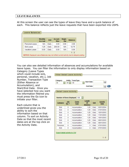## **LEAVE BALANCES**

At this screen the user can see the types of leave they have and a quick balance of each. This balance reflects just the leave requests that have been exported into USPS.

|                       | <b>Monthly</b><br><b>Accrual</b> | <b>Unit</b> | Accum<br><b>Max</b> | <b>Begin</b><br>Bal | <b>Balance</b> |
|-----------------------|----------------------------------|-------------|---------------------|---------------------|----------------|
| <b>Personal Leave</b> | N/A                              | Daily       | 3.00                | 3.00                | 3.00           |
| Sick Leave            | 1.25                             | Daily       | 200.00              | N/A                 | 12.75          |
| Vacation Leave        | 0.00                             | Daily       | 0.00                | N/A                 | 0.00           |

You can also see detailed information of absences and accumulations for available leave types. You can filter the information to only display information based on

Category (Leave Types which could include sick, personal, vacation, etc.), Job Number, Transaction Type (Either Absence or Accumulation), and Start/End Date. Once you have selected how you want the information filtered you must press the Go icon to initiate your filter.

Each column that is underlined gives you the ability to sort the information based on that column. To sort on Activity Date so that the most recent dates are at the top click on the Activity Date.

| All                             | All          | JobNo TransType<br>All      | <b>Start Date</b><br><b>End Date</b>  |       | 殿<br><b>IIII</b>        |
|---------------------------------|--------------|-----------------------------|---------------------------------------|-------|-------------------------|
| <b>Detail Leave Activity</b>    |              |                             |                                       |       |                         |
| <b>Number of Rows Displayed</b> |              | 100                         |                                       |       |                         |
| Category                        | Job<br>No. A | <b>Trans</b><br><b>Type</b> | Length<br><b>Of</b><br><b>Absence</b> | Unit  | <b>Activity</b><br>Date |
| <b>Sick</b>                     | 0            | Accumulation                | 1.25                                  | Daily | 02/01/2004              |
| Sick                            | 0            | Accumulation                | 1.25                                  | Daily | 01/01/2004              |
| <b>Sick</b>                     | $\Omega$     | Accumulation                | 1.25                                  | Daily | 12/01/2003              |
| Sick                            | $\Omega$     | Accumulation                | 1.25                                  | Daily | 11/01/2003              |
| Sick                            | 0            | Accumulation                | 1.25                                  | Daily | 10/01/2003              |
| <b>Sick</b>                     | $\Omega$     | Accumulation                | 1.25                                  | Daily | 09/01/2003              |
| Sick                            | 0            | Accumulation                | 1.25                                  | Daily | 08/01/2003              |
| Personal                        | 0            | Accumulation                | з                                     | Daily | 07/01/2003              |
| <b>Sick</b>                     | $\Omega$     | Accumulation                | 4                                     | Daily | 07/01/2003              |
|                                 |              |                             |                                       |       |                         |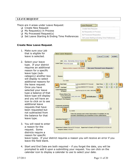## **LEAVE REQUEST**

There are 4 areas under Leave Request:

- □ Create New Request
- □ My Request(s) in Process
- $\Box$  My Processed Request(s)
- $\Box$  Set Leave Starting & Ending Time Preferences

#### Leave Request

**Create New Request** 

My Request(s) in Process

- My Processed Request(s)
- Set Leave Starting & Ending Time Preferences

## **Create New Leave Request**.

- 1. Make sure your job that is eligible for leave is selected.
- 2. Select your leave type. If your district requires an additional reason for a specific leave type (subcategory) another box will display to select additional reasons for the leave request. Once you have selected your leave type a balance of that leave type will display and you will have an icon to click on to see additional leave requests that have been requested but not subtracted from the balance for that leave type.
- 3. You will need to enter a reason for the request. Some districts require a reason for specific



leave types. If your district requires a reason you will receive an error if you leave the field blank.

4. Start and End Date are both required – if you forget the date, you will be prompted to add it upon a submitting your request. You can click on the calendar icon to display a calendar to use to select your date.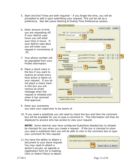5. Start and End Times are both required – if you forget the time, you will be prompted to add it upon submitting your request. This can be set as a preference. See Set Leave Starting & Ending Time Preferences section.

New Leave Request

- 6. Enter amount of time you are requesting off. If your district uses hours you will enter your time in hours. If your district uses days you will enter your request in increments of .25.
- 7. Your phone number will be populated from your Profile information.
- 8. Place a check mark in the box if you want to receive an email every time action is taken on your request. If you do not place a check mark in this box you will receive an email message when the request is initiated and when it has received final approval.

|                                                     | $\cdots$ $\cdots$ $\cdots$ $\cdots$ $\cdots$<br><b>Cancel CLEAR</b><br><b>SUBMIT</b>                                                                         |
|-----------------------------------------------------|--------------------------------------------------------------------------------------------------------------------------------------------------------------|
|                                                     | Job Active - Elementary School Teacher                                                                                                                       |
|                                                     | Leave Type   Personal Leave                                                                                                                                  |
|                                                     | <b>See your Personal Leave Requests</b><br>Balance before request 3.00 Day(s)                                                                                |
| Reason                                              |                                                                                                                                                              |
|                                                     | 0 of 1000                                                                                                                                                    |
|                                                     | <b>Start Date</b><br>and (use MM/DD/YYYY format)<br>Start Time 01<br>AM<br>00<br>5                                                                           |
|                                                     | End Time 01<br>time (use MM/DD/YYYY format)<br>AM<br>00<br><b>End Date</b>                                                                                   |
| <b>Leave Requested</b>                              | use format {#, #.#, #.##, -###.###}<br>In $Day(s)$                                                                                                           |
|                                                     | <b>Phone Where You</b><br><b>Can be Reached</b><br>$(444) 444 - 4444$<br><b>Full Notification</b><br><b>For Questions</b><br><b>Relating to This Request</b> |
|                                                     |                                                                                                                                                              |
| <b>Comments pertaining</b><br>to this Leave Request | <b>ABS</b>                                                                                                                                                   |
|                                                     | 0 of 4000                                                                                                                                                    |
|                                                     | Enter the name(s) and contact information, if available, for any<br>possible Substitute(s) you would like to have called below.                              |
| <b>Substitute Needed?</b>                           | ×.                                                                                                                                                           |
|                                                     | Ŵ.                                                                                                                                                           |
|                                                     | Supervisor's Name: Marcia ES Principal Supervisor's Email: eSPRIN@NCOCC.K12.OH.US<br><b>Request Status: Initiated</b>                                        |

- 9. Enter any comments you want your supervisor to be aware of.
- 10. If you need a substitute you will need to check the box and then the comment box will be available for you to type a comment in. This information will then be displayed to anyone who has access to view your request.

*NOTE: Some districts may have configured Substitute Needed box to already be checked for you when you create a request. If the box is checked to show you need a substitute then you will be able to click in the comment box to type your comment for this request.* 

11.You have the ability to attach a document to your leave request. You may need to attach a doctor's excuse, an agenda or registration form for a meeting. Click on Select File(s) to attach.

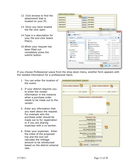- 12. Click browse to find the attachment that is located on your PC.
- 13. Once you have located the file click open.
- 14.Type in a description for your file and click Select File(s).
- 15.When your request has been filled out completely press the submit button.

| Attachment 1: | 12                      | Browse        | <b>Description:</b>            |                          |                   |
|---------------|-------------------------|---------------|--------------------------------|--------------------------|-------------------|
| Attachment 2: |                         | <b>Browne</b> | <b>Description:</b>            |                          |                   |
| Attachment 3: |                         | Browse.       | Description:                   |                          |                   |
| Attachment 4: |                         |               | <b>Description:</b>            |                          |                   |
|               |                         | Browan        |                                |                          |                   |
| Attachment S: |                         | <b>Browse</b> | Description:                   |                          |                   |
|               |                         |               |                                | 14 Select File(s) Cancel |                   |
|               | File Upload             |               |                                |                          | <b>Sep</b>        |
|               |                         |               |                                |                          |                   |
|               | v E Datickop            |               | $x = 6x$                       | Search Datings           | ø                 |
|               | New folder<br>Drawnos - |               |                                |                          | E +<br>а<br>o     |
|               | <b>A SE Favoritas</b>   |               | Name                           | Sze                      | frem type:        |
|               | 图 Desktop               |               | ALCO YAYS IF                   | 12 KB                    | Adelia Acrabat I  |
|               | & Downloads             |               | di olds12.4marcesport          | 1,268,837                | Microsoft Word    |
|               | Recent Places           |               | Approve Cancellation           | 44 KB                    | Microsoft World   |
|               |                         |               | <b>Dinning</b>                 | 12 KB                    | Microsoft Excel 1 |
|               | Libraries               |               | template3                      | 士王田                      | <b>CSV Frisc</b>  |
|               | Cocuments               |               | Modifypeggyelcheit             |                          | TKB CSV File      |
|               | Music.                  |               | MadriveccountResionf           |                          | 3 KB CSV File     |
|               | Pictures                |               | Bistricts to Help with Virtual | 10 KB                    | Microsoft Excel 1 |
|               | <b>Wideos</b>           |               | noutr-curve/51477-3            | <b>注语</b>                | Microsoft Exuit   |
|               | <b>A IN COMMERCIAL</b>  |               | thesuts-survey31477-2<br>EL-   | 17 KB                    | Miowsoft Excel E  |
|               | Flenance                |               |                                | <b>AEFIles</b>           |                   |

If you choose Professional Leave from the drop down menu, another form appears with the needed information for a professional leave.

- 1. You can enter the location of the event.
- 2. If your district requires you to enter the vendor information in the instance when a purchase order needs to be made out to the vendor.
- 3. Enter any information that you want about the request. For example who the purchase order should be made out to for registration or if you are sharing expenses with a co-worker.
- 4. Enter your expenses. Enter the miles of the proposed trip and the tool will calculate the mileage amount to be reimbursed based on the district entered rate.

| Event Location (Address) |                                                                    | Vendor Location (Address) | 21                |
|--------------------------|--------------------------------------------------------------------|---------------------------|-------------------|
| Dh                       | State<br>Zip Code                                                  | Dity                      | Zio Code<br>State |
|                          | Purpose of Leave / Leave Description                               |                           |                   |
|                          |                                                                    |                           |                   |
|                          |                                                                    |                           |                   |
|                          |                                                                    |                           |                   |
|                          |                                                                    |                           | 뻐                 |
|                          |                                                                    |                           |                   |
|                          | 0 of 500                                                           |                           |                   |
|                          | <b>Estimated Costs</b>                                             |                           |                   |
|                          | <b>Registration Fees:</b><br>(e.g. (3,123.34) (1,002) (3456.78))   | D                         |                   |
|                          | Lodging Amount:                                                    | ō                         |                   |
|                          | (e.g. (3.123.34) (1.002) (3456.78)<br><b>Heals Amount</b>          |                           |                   |
|                          | le g. (3,123.34) (1,002) (3456.78))                                | D                         |                   |
|                          | Other Expenses Amount:<br>(e.g. (3,123.34) (1,002) (3456.78))      | D                         |                   |
|                          | Mileage Rate: 0.510 X # of Miles                                   | ā                         |                   |
|                          | le g (1,000) (143) (32) (33)<br><b>Hicage Amount</b>               |                           |                   |
|                          | (e.g. (3, f 23.34) (1,002) (3456.78)<br><b>Total Leave Amount:</b> | ø                         |                   |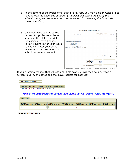- 5. At the bottom of the Professional Leave Form Part, you may click on Calculate to have it total the expenses entered. *(The fields appearing are set by the administrator, and some features can be added, for instance, the fund code could be added.)*
- 6. Once you have submitted the request for professional leave you have the ability to print a Professional Leave Request Form to submit after your leave so you can enter your actual expenses, attach receipts and submit for reimbursement.

|                                                                             | Today's Date: 11/23/2009 |                                     |
|-----------------------------------------------------------------------------|--------------------------|-------------------------------------|
| Name: Emily Es Teacher                                                      |                          | Position: Elementary School Teacher |
|                                                                             |                          |                                     |
| Start Date: November 30, 2009 Time: 09:00 AM                                |                          |                                     |
| Dates/Times:<br>End Date: November 30, 2009 Time: 03:00 AM                  |                          |                                     |
| Total Leave requested: 1 Day(s)                                             |                          |                                     |
| Reason from<br>Leave Request: Meeting                                       |                          |                                     |
|                                                                             |                          |                                     |
| Location of Meeting                                                         |                          |                                     |
| Professional Leave Event: Columbus, OH 43224<br>Purpose of Meeting: Meeting |                          |                                     |
| Vendor Location: ODE                                                        |                          |                                     |
| Columbus, OH 43221                                                          |                          |                                     |
|                                                                             |                          | <b>RXPENSES</b>                     |
|                                                                             | Estimated                | Actual                              |
| 150 miles @0.400 per mile:<br>Travel:                                       | \$60.00                  |                                     |
| Lodging Amount:                                                             | \$0.00                   |                                     |
| Meals Amount:                                                               | \$15.00                  |                                     |
| <b>Registration Fees:</b>                                                   | \$50.00                  |                                     |
| Other Expenses Amount:                                                      | \$10.00                  |                                     |

If you submit a request that will span multiple days you will then be presented a screen to verify the dates and the leave request for each day.

| Leave Request Information |                   |                 |                 |                    |
|---------------------------|-------------------|-----------------|-----------------|--------------------|
| <b>Start Date</b>         | <b>Start Time</b> | <b>End Date</b> | <b>End Time</b> | Total Leave Day(s) |
| 12/07/2009                | 07:30 AM          | 12/11/2009      | 03:00 PM        | 5                  |

Verify Leave Detail Day(s) and Click ACCEPT LEAVE DETAILS button to ADD the request.

| Neek One                     |                              |                               |                                 |                                |                              |                                |
|------------------------------|------------------------------|-------------------------------|---------------------------------|--------------------------------|------------------------------|--------------------------------|
| Sunday.<br>December 06, 2009 | Monday.<br>December 07, 2009 | Tuesday.<br>December 08, 2009 | Wednesday.<br>December 09, 2009 | Thursday.<br>December 10, 2009 | Friday.<br>December 11, 2009 | Saturday.<br>December 12, 2009 |
|                              |                              |                               |                                 |                                |                              | 10                             |

**Accept Leave Details Cancel**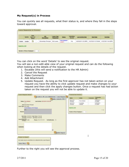## **My Request(s) in Process**

You can quickly see all requests, what their status is, and where they fall in the steps toward approval.

|         | Update | Wew<br>Approval<br>Status. |        | 动<br>Description     | Leave Type<br><b>Heguessed</b> | <b>Status</b>            | Subsition<br><b>Nogderi</b> | <b>Lest Activity Date</b> | <b>Start Date</b>  | End Date            |
|---------|--------|----------------------------|--------|----------------------|--------------------------------|--------------------------|-----------------------------|---------------------------|--------------------|---------------------|
| Details | Update | 国                          | $\sim$ | Elementary Principal | Sick Leave                     | Flow Inflated<br>Level 1 | Yes                         | 02/03/2011 03:38PM        | 01/27/2011 07:00AM | 01/27/2011 04:00 PM |

You can click on the word 'Details' to see the original request.

You will see a non-edit-able view of your original request and can do the following when looking at the details of the request.

- 1. Escalate (this will send a notification to the HR Admin)
- 2. Cancel the Request
- 3. Make Comments
- 4. Add Attachment
- 5. Update Request. As long as the first approver has not taken action on your request you have the ability to click update request and make changes to your request and then click the apply changes button. Once a request has had action taken on the request you will not be able to update it.

|                                                                       |                                                                              |                              |                            | <b>Transaction History</b> |                 |                            |
|-----------------------------------------------------------------------|------------------------------------------------------------------------------|------------------------------|----------------------------|----------------------------|-----------------|----------------------------|
|                                                                       | 1 Escalate to HR Leave Administrator   Cancel Request                        | <b>3 Apply Comments ONLY</b> | $\overline{2}$<br>Marrist  | Action                     | <b>Commerts</b> | Transaction<br><b>Date</b> |
| Status: Finis Initiated                                               | Last Activity, 02/03/2011 03:39 PM                                           |                              | Marcia ES<br>Principal     | Flow Initiated             | ÷               | 02/03/2011<br>03 39PM      |
| <b>Job: Elementary Principal</b>                                      |                                                                              |                              | Marcia ES<br>Principal     | Buitstäute<br>Needed       | ×               | 02/03/2011<br>03.39PM      |
| Leave Type: Sick Leave<br>Current Balance 39.75 Day(s)<br>T11         |                                                                              |                              | <b>Export to .CSV</b>      |                            |                 | $1 - 2$                    |
| <b>Heason</b>                                                         |                                                                              |                              | Number of Rows Displayed 5 | ٠                          |                 |                            |
|                                                                       | Phone: (111) 111-1111<br>Full Notification: N                                |                              |                            |                            |                 |                            |
|                                                                       | 题                                                                            |                              |                            |                            |                 |                            |
|                                                                       |                                                                              | 5<br><b>Update Request</b>   |                            |                            |                 |                            |
| Leave Requested<br>In Day(s): 1.000<br>Comments:<br>File(s) to Attach | Click button below to select file is ) to be attached to this Leave Request. |                              |                            |                            | Î               |                            |

Further to the right you will see the approval process.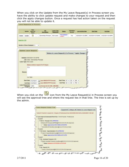When you click on the Update from the My Leave Request(s) in Process screen you have the ability to click update request and make changes to your request and then click the apply changes button. Once a request has had action taken on the request you will not be able to update it.

|         | <b>Update</b>               | Wew<br>Approval<br>Status.                                                  |        | $_{\text{lab}}$<br>Description      | Leave Type<br><b>Requested</b> | <b>Status</b>                         | Subsitione<br><b>Nogderi</b> | <b>Last Activity Date</b> | <b>Start Date</b>  | End Date            |
|---------|-----------------------------|-----------------------------------------------------------------------------|--------|-------------------------------------|--------------------------------|---------------------------------------|------------------------------|---------------------------|--------------------|---------------------|
| Details | Update                      | 围                                                                           | $\sim$ | Elementary Principal                | Sick Leave                     | Flow Inflated<br>Level 1              | Yes                          | 02/03/2011 03:38PM        | 01/27/2011 07:00AM | 01/27/2011 04:00 PM |
|         | Number of Rouss Displayed 5 | <b>Update Leave Request</b>                                                 | ÷      |                                     |                                | Return to Leave Request(s) in Process |                              | Apply Changes             |                    |                     |
|         |                             |                                                                             |        |                                     |                                |                                       |                              |                           |                    |                     |
|         | Leave Type: Bick Leave      | Initiated: 02/03/2011 03:30 PM<br><b>Job: Active - Elementary Principal</b> |        | Balance before request 39.75 Day(a) |                                |                                       |                              |                           |                    |                     |
|         | Flu-<br>Reason              |                                                                             |        |                                     |                                |                                       |                              |                           |                    |                     |
|         |                             | 3 af 1000                                                                   |        |                                     |                                |                                       |                              |                           |                    |                     |

When you click on the **interest** icon from the My Leave Request(s) in Process screen you will see the approval tree and where the request lies in that tree. The tree is set up by the admin.

|                                               | Expand All   Collapse All   Return to Leave Request List                                                 |
|-----------------------------------------------|----------------------------------------------------------------------------------------------------------|
|                                               | Emily E5 Teacher's request for .5 Dayis) of Professional from 04/28/2009 03:00 AM to 04/29/2009 11:00 AM |
|                                               | Heave Approval Automated Work Flow - OH ES Teacher - Professional                                        |
| <b>Diavel 1</b>                               |                                                                                                          |
| DOMES - Principal (OR) APPROVED               |                                                                                                          |
|                                               | E Marcia ES Principal (eSPRIN@NCOCC.K12.OH.US) [Approver]                                                |
| - Status: Approved on 05/21/2009 at 01:09 PH  |                                                                                                          |
|                                               | Samantha ES Secretary (essec@ncocck12.ch.us) (View)                                                      |
| <b>Diamiz</b>                                 |                                                                                                          |
| D OH School - Superintendent (OR) APPROVED    |                                                                                                          |
|                                               | C-Adam K Superintendent (supt@NCOCC.K12.OH.US) (Approver)                                                |
| Status: Approved on 05/25/2009 at 01:12 PM    |                                                                                                          |
| E-Level 3                                     |                                                                                                          |
| C:OH - Assistant Treasurer (CR)               |                                                                                                          |
|                                               | E Mandy Assistant Treasurer (asstheas@NCOCC K12.0H.US) (Approver)                                        |
| - Status: Initiated on 03/19/2009 at 10:19 AM |                                                                                                          |
| <b>Edward 4</b>                               |                                                                                                          |
| DOM - Payroll (OR)                            |                                                                                                          |
|                                               | Grace C Payroll (payroll@NCOCC K12 OH US) (Approver)                                                     |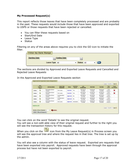## **My Processed Request(s)**

This report reflects those leaves that have been completely processed and are probably in the past. These requests would include those that have been approved and exported to USPS or those requests that have been rejected or cancelled.

- You can filter these requests based on
- Start/End Date
- Leave Type
- Status

Filtering on any of the areas above requires you to click the GO icon to initiate the filter.

| Filter by Date Range |                |                    |                                     |      |
|----------------------|----------------|--------------------|-------------------------------------|------|
| <b>Starting Date</b> |                | <b>Ending Date</b> | 殿                                   |      |
|                      | Leave Type All |                    | $\overline{\phantom{a}}$ Status All | (Go) |

The sections are divided by Approved and Exported Leave Requests and Cancelled and Rejected Leave Requests

In the Approved and Exported Leave Requests section

|          | <b>Wew</b><br>Approval<br>Status. | Job Oascription              | Leave Tape<br><b>Sequested</b> | <b>Status</b> | Substitute.<br>Monded | Last<br><b>Activity Date</b> | <b>Start Date</b>     | End Date               | Tatal<br>Learn     | Create<br>Cancelation |
|----------|-----------------------------------|------------------------------|--------------------------------|---------------|-----------------------|------------------------------|-----------------------|------------------------|--------------------|-----------------------|
| Details  | 围                                 | Elementary School<br>Teacher | Stok Leave                     | Exported      | Yes                   | 08/31/2010<br>03:33PM        | 07/07/2010<br>07:00AM | 07/07/2010<br>03:00 PM | 7.000<br>Houtts't  | ×                     |
| Details  | 围                                 | Elementary School<br>Teacher | Sick Leave                     | Exported      | Yes                   | 08/31/2010<br>03:33PM        | 05/19/2010<br>D7:00AM | 05/19/2010<br>03:00 PM | 8,000<br>Hour(s)   | ×                     |
| Details  | 国                                 | Elementary School<br>Teacher | Compensatory<br>Time.          | Approved      | No                    | 08/13/2010<br>03:31PM        | 08/13/2010<br>03:00PM | 0BY3/2010<br>05/00PM   | 2,000<br>Hour(s)   | ÷.                    |
| Datails: | 酚                                 | Elementary School<br>Teacher | Compensatory<br>Time           | Approved      | No                    | 08/13/2010<br>03.31PM        | 08/23/2010<br>03.00PM | 08/23/2010<br>D6:00PM  | 3.000<br>Houris)   |                       |
| Details  | 国                                 | Elementary School<br>Teacher | Sick Leave                     | Approved      | Scheduled             | 09/21/2010<br>12.4448        | 09/20/2010<br>07:00AM | 09/21/2010<br>03:00PW  | 15,000<br>Hour(s). | ٠                     |

You can click on the word 'Details' to see the original request.

You will see a non-edit-able view of their original request and further to the right you will see the transaction history for this request.

When you click on the  $\frac{128}{160}$  icon from the My Leave Request(s) in Process screen you will see the approval tree and where the request lies in that tree. The tree is set up by the admin.

You will also see a column with the status of leave request. Exported are requests that have been exported into payroll. Approved requests have been through the approval process but have not been exported to payroll.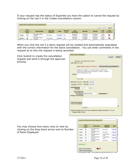If your request has the status of Exported you have the option to cancel the request by clicking on the red X in the Create Cancellation column.

|         |                                  |                              |                                |               |                                           |                              |                             |                        |                  | row(s) 1 - 5 of 19 - heat El |
|---------|----------------------------------|------------------------------|--------------------------------|---------------|-------------------------------------------|------------------------------|-----------------------------|------------------------|------------------|------------------------------|
|         | Wew<br>Approval<br><b>Status</b> | <b>Job Description</b>       | Leave Type<br><b>Bequested</b> | <b>Status</b> | Substitute<br>Meeded                      | Last<br><b>Activity Date</b> | <b>Start Date</b>           | End Date:              | Total<br>Leave   | Create<br>Cancellation       |
| Details | E.                               | Elementary School<br>Teacher | Sick Leave                     | Exported      | Yes                                       | 08/31/2010<br>03:33PM        | 07/07/2010<br>07:00AM       | 07/07/2010<br>03:00 PM | 7,000<br>Hour(s) | ×                            |
| Details |                                  | Elementary School            | <b>Bick Leave</b>              | Exported      | Yea<br>The first painting of the district | 08/31/2010<br>03.3PM @       | 05/19/2010<br>nr government | 05/19/2019<br>03:00PM  | 8.000<br>Honita) |                              |

When you click the red X a leave request will be created and automatically populated with the correct information for the leave cancellation. You can enter comments in the request as to why the request is being cancelled.

Click Submit to create the cancellation request and send it through the approval process.

|                        |                                                                                                                            | Cancel<br>SUBMIT                                                  |
|------------------------|----------------------------------------------------------------------------------------------------------------------------|-------------------------------------------------------------------|
|                        | Job Active - Elementary Behool Teacher                                                                                     |                                                                   |
|                        | Leave Type Sick Leave                                                                                                      |                                                                   |
|                        |                                                                                                                            | Balance before request 12.75 Houris) See your Sick Leave Requests |
| Reason                 | Nepative request to reverse/cancel leave time<br>previously Exported and Posted to USPS. Original<br>Leave Request#1211023 |                                                                   |
|                        | 116 et 1000                                                                                                                |                                                                   |
|                        | Start Date 07/07/2010 Start Time: 07:00 AM                                                                                 |                                                                   |
|                        | End Date 07/07/2010 End Time 03:00 PM                                                                                      |                                                                   |
| <b>Leave Requested</b> | $.000 - 4.0$<br>In Hourist                                                                                                 |                                                                   |
|                        | Phone Where You                                                                                                            |                                                                   |
|                        | Can be Reached<br>0440-444-4444<br>For Questions<br>Relating to This Request                                               | Full Notification: [11]                                           |
|                        |                                                                                                                            |                                                                   |
|                        | Comments pertaining<br>to this Leave Request                                                                               |                                                                   |
|                        |                                                                                                                            | 悶                                                                 |
|                        | 0.14000                                                                                                                    |                                                                   |
|                        | Supervisor's Name: Marcia ES Principal Supervisor's Email: espringincocc k12 oh us<br>Request Status: Initiated            |                                                                   |

You may choose how many rows to view by clicking on the drop down arrow next to Number of Rows Displayed.

|                 | <b>Ulwar</b><br><b>ADDITIONAL</b><br>Status | s | Job Description              | <b>Leave Type</b><br>Reguested | <b>Status</b> |
|-----------------|---------------------------------------------|---|------------------------------|--------------------------------|---------------|
| <b>Cietatts</b> | 亩                                           | ÷ | Elementary School<br>Teacher | Sick Leave                     | Exported      |
| <b>Datails</b>  | 酯                                           |   | Elementary School<br>Teacher | <b>Sick Leave</b>              | Exported      |
| Details.        | E)                                          |   | Elementary School<br>Teacher | Competisatory.<br>Time         | Approved      |
| Details.        | 睛                                           | ŧ | Elementary School<br>Teacher | Compensatory<br>Time:          | Approved      |
| Details         | m                                           |   | Elementary School<br>Teacher | Sick Leave                     | Approved      |
| Export to .CSV  |                                             |   |                              |                                |               |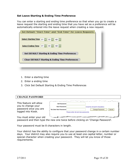## **Set Leave Starting & Ending Time Preference**

You can enter a starting and ending time preference so that when you go to create a leave request the starting and ending time that you have set as a preference will be automatically entered into the leave request when creating a new request.

| Set Default "Start Time" and "End Time" for Leave Requests  |
|-------------------------------------------------------------|
| Select Starting Time 01 v 00 v<br>  AM                      |
| $\parallel$ am $\parallel$                                  |
|                                                             |
| <b>Set DEFAULT Starting &amp; Ending Time Preferences</b>   |
| <b>Clear DEFAULT Starting &amp; Ending Time Preferences</b> |
|                                                             |

- 1. Enter a starting time
- 2. Enter a ending time
- 3. Click Set Default Starting & Ending Time Preferences

#### **CHANGE PASSWORD**

| This feature will allow<br>you to change your | <b>Old Password</b>          |                                     | الباران سيري الصرير المستقل المستقلة المستقلة المستقلة المتعارض المستويات المستقلة المستقلة المستويات المستقل المستويات والمواصل المرادي |
|-----------------------------------------------|------------------------------|-------------------------------------|------------------------------------------------------------------------------------------------------------------------------------------|
|                                               | New Password                 |                                     | (must be at least 8 characters)                                                                                                          |
| password once you are                         | <b>Re-Enter New Password</b> |                                     | Cancel<br>Change Password                                                                                                                |
| logged into Kiosk.                            |                              | Please enter old and new passwords. |                                                                                                                                          |
| You must enter your old                       |                              |                                     | <u> San James John as para tantantan as as as consideras as associations as and containing as as as a second company of the second</u>   |

password and then type the new one twice before clicking on 'Change Password'.

Your password must be 8 characters in length.

Your district has the ability to configure that your password change in a certain number days. Your district may also require you to use at least one capital letter, number or special character when creating your password. They will let you know of those requirements.